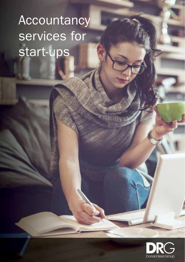# Accountancy services for start-ups

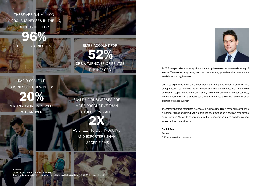THERE ARE 5.4 MILLION MICRO- BUSINESSES IN THE UK, ACCOUNTING FOR

 $96\%$ 

RAPID SCALE UP BUSINESSES GROWING BY

20% PER ANNUM IN EMPLOYEES & TURNOVER

SCALE UP BUSINESSES ARE MORE PRODUCTIVE THAN OTHER FIRMS AND

SMES ACCOUNT FOR

52%

OF UK TURNOVER OF PRIVATE **BUSINESSES** 

2X AS LIKELY TO BE INNOVATIVE AND EXPORTERS THAN LARGER FIRMS

Sources: Scale Up Institute; 2018 Scale up Survey House of Commons Library - Briefing Paper. Business Statistics Number 06152, 12 December 201



At DRG we specialise in working with fast scale up businesses across a wide variety of sectors. We enjoy working closely with our clients as they grow their initial idea into an established thriving business.

Our vast experience means we understand the many and varied challenges that entrepreneurs face. From advice on financial software or assistance with fund raising and working capital management to monthly and annual accounting and tax services, we are always on-hand to support our clients whether it's a financial, commercial or practical business question.

The transition from a start-up to a successful business requires a broad skill set and the support of trusted advisors. If you are thinking about setting up a new business please do get in touch. We would be very interested to hear about your idea and discuss how we can help and work together.

Daniel Reid

Partner DRG Chartered Accountants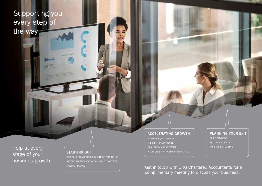## Supporting you every step of the way

Help at every stage of your business growth

DECIDING ON A SUITABLE BUSINESS STRUCTURE SETTING UP EFFICIENT ACCOUNTANCY SYSTEMS RAISING FINANCE

#### ACCELERATING GROWTH FURTHER EQUITY RAISES

EFFICIENT TAX PLANNING CASH FLOW MANAGEMENT STARTING OUT **ADDITIONAL MANAGEMENT REPORTING** 

### PLANNING YOUR EXIT EXIT READINESS SELL SIDE ADVISORY TAX CONSIDERATIONS

Get in touch with DRG Chartered Accountants for a complimentary meeting to discuss your business.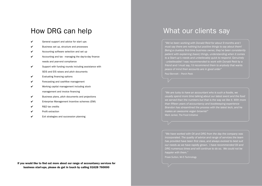### How DRG can help

- ✔ General support and advice for start ups
- ✔ Business set up, structure and processes
- ✔ Accounting software selection and set up
- $\checkmark$  Accounting and tax managing the day-to-day finance needs and year-end compliance
- $\checkmark$  Support with funding rounds including assistance with SEIS and EIS raises and pitch documents
- $\checkmark$  Evaluating financing options
- $\checkmark$  Forecasting and cashflow management
- ✔ Working capital management including stock management and invoice financing
- $\checkmark$  Business plans, pitch documents and projections
- ✔ Enterprise Management Incentive schemes (EMI)
- ✔ R&D tax credits
- $\nu$  Profit extraction
- ✔ Exit strategies and succession planning

What our clients say

*"We've been working with Donald Reid for about 9 months and I must say there are nothing but positive things to say about them! Being a clueless first-time business owner, they've been consistently patient with explaining (basic) things, understanding when it comes to a Start-up's needs and unbelievably quick to respond. Genuinely - unbelievable! I was recommended to work with Donald Reid by a friend and I must say, I'd recommend them to anybody that wants peace of mind their accounts are in good order"*

Paul Bennett – Perch Peek

*"We are lucky to have an accountant who is such a foodie, we usually spend more time talking about our latest event and the food we served than the numbers but that is the way we like it. With more than fi fteen years of accountancy and bookkeeping experience Brandon has streamlined the process with the latest tech, and he makes an awesome vegan brownie!"* Mark Jankel, The Food Initiative

*"We have worked with Oli and DRG from the day the company was incorporated. The quality of advice and range of services the team*  has provided have been first class, and always evolved to best suit *our needs as we have rapidly grown. I have recommended Oli and DRG numerous times and will continue to do so. We could not be happier with them."*

Prask Sutton, Wi-5 Technology

If you would like to find out more about our range of accountancy services for business start-ups, please do get in touch by calling 01628 760000